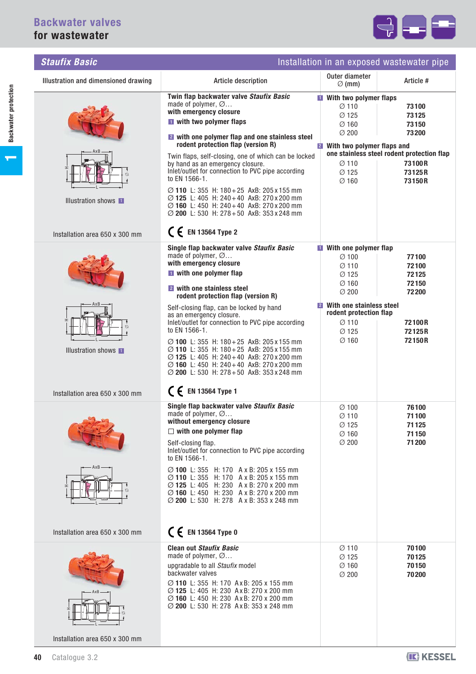

| <b>Staufix Basic</b>                                                            | Installation in an exposed wastewater pipe                                                                                                                                                                                                                                                                                                                                                                                                                                                                                                                                                                    |                                                                                                                                                                                           |                                                                                                              |  |
|---------------------------------------------------------------------------------|---------------------------------------------------------------------------------------------------------------------------------------------------------------------------------------------------------------------------------------------------------------------------------------------------------------------------------------------------------------------------------------------------------------------------------------------------------------------------------------------------------------------------------------------------------------------------------------------------------------|-------------------------------------------------------------------------------------------------------------------------------------------------------------------------------------------|--------------------------------------------------------------------------------------------------------------|--|
| Illustration and dimensioned drawing                                            | Article description                                                                                                                                                                                                                                                                                                                                                                                                                                                                                                                                                                                           | Outer diameter<br>$\varnothing$ (mm)                                                                                                                                                      | Article #                                                                                                    |  |
| $\varnothing$<br>Illustration shows <b>II</b><br>Installation area 650 x 300 mm | Twin flap backwater valve Staufix Basic<br>made of polymer, $\varnothing$<br>with emergency closure<br>I with two polymer flaps<br>2 with one polymer flap and one stainless steel<br>rodent protection flap (version R)<br>Twin flaps, self-closing, one of which can be locked<br>by hand as an emergency closure.<br>Inlet/outlet for connection to PVC pipe according<br>to EN 1566-1.<br>Ø 110 L: 355 H: 180 + 25 AxB: 205 x 155 mm<br>Ø 125 L: 405 H: 240+40 AxB: 270 x 200 mm<br>Ø 160 L: 450 H: 240 + 40 AxB: 270 x 200 mm<br>Ø 200 L: 530 H: 278 + 50 AxB: 353 x 248 mm<br>$C \n\in$ EN 13564 Type 2 | <b>No. 3</b> With two polymer flaps<br>$\varnothing$ 110<br>Ø 125<br>$\varnothing$ 160<br>Ø 200<br><b>2</b> With two polymer flaps and<br>$\varnothing$ 110<br>Ø 125<br>$\varnothing$ 160 | 73100<br>73125<br>73150<br>73200<br>one stainless steel rodent protection flap<br>73100R<br>73125R<br>73150R |  |
|                                                                                 | Single flap backwater valve Staufix Basic<br>made of polymer, $\varnothing$                                                                                                                                                                                                                                                                                                                                                                                                                                                                                                                                   | <b>No. 3 With one polymer flap</b><br>$\varnothing$ 100                                                                                                                                   | 77100                                                                                                        |  |
|                                                                                 | with emergency closure<br><b>I</b> with one polymer flap<br>2 with one stainless steel<br>rodent protection flap (version R)                                                                                                                                                                                                                                                                                                                                                                                                                                                                                  | $\varnothing$ 110<br>Ø 125<br>$\varnothing$ 160<br>Ø 200                                                                                                                                  | 72100<br>72125<br>72150<br>72200                                                                             |  |
| Ø                                                                               | Self-closing flap, can be locked by hand<br>as an emergency closure.<br>Inlet/outlet for connection to PVC pipe according<br>to EN 1566-1.<br>Ø 100 L: 355 H: 180 + 25 AxB: 205 x 155 mm<br>$\varnothing$ 110 L: 355 H: 180 + 25 AxB: 205 x 155 mm                                                                                                                                                                                                                                                                                                                                                            | With one stainless steel<br>rodent protection flap<br>$\varnothing$ 110<br>Ø 125<br>Ø 160                                                                                                 | 72100R<br>72125R<br>72150R                                                                                   |  |
| Illustration shows <b>II</b><br>Installation area 650 x 300 mm                  | Ø 125 L: 405 H: 240+40 AxB: 270 x 200 mm<br>$\varnothing$ 160 L: 450 H: 240 + 40 AxB: 270 x 200 mm<br>Ø 200 L: 530 H: 278 + 50 AxB: 353 x 248 mm<br>$C \n\in$ EN 13564 Type 1                                                                                                                                                                                                                                                                                                                                                                                                                                 |                                                                                                                                                                                           |                                                                                                              |  |
| AxB                                                                             | Single flap backwater valve Staufix Basic<br>made of polymer, $\varnothing$<br>without emergency closure<br>$\Box$ with one polymer flap<br>Self-closing flap.<br>Inlet/outlet for connection to PVC pipe according<br>to EN 1566-1.<br>Ø 100 L: 355 H: 170 A x B: 205 x 155 mm<br>Ø 110 L: 355 H: 170 A x B: 205 x 155 mm<br>⊘ 125 L: 405 H: 230 A x B: 270 x 200 mm<br>Ø 160 L: 450 H: 230 A x B: 270 x 200 mm                                                                                                                                                                                              | $\varnothing$ 100<br>$\varnothing$ 110<br>Ø 125<br>Ø 160<br>Ø 200                                                                                                                         | 76100<br>71100<br>71125<br>71150<br>71200                                                                    |  |
| Installation area 650 x 300 mm                                                  | ⊘ 200 L: 530 H: 278 A x B: 353 x 248 mm<br>$C \n\in$ EN 13564 Type 0                                                                                                                                                                                                                                                                                                                                                                                                                                                                                                                                          |                                                                                                                                                                                           |                                                                                                              |  |
| AxB<br>Installation area 650 x 300 mm                                           | <b>Clean out Staufix Basic</b><br>made of polymer, $\varnothing$<br>upgradable to all Staufix model<br>backwater valves<br>Ø 110 L: 355 H: 170 Ax B: 205 x 155 mm<br>Ø 125 L: 405 H: 230 Ax B: 270 x 200 mm<br>Ø 160 L: 450 H: 230 AxB: 270 x 200 mm<br>⊘ 200 L: 530 H: 278 AxB: 353 x 248 mm                                                                                                                                                                                                                                                                                                                 | Ø 110<br>Ø 125<br>Ø 160<br>Ø 200                                                                                                                                                          | 70100<br>70125<br>70150<br>70200                                                                             |  |

**1**